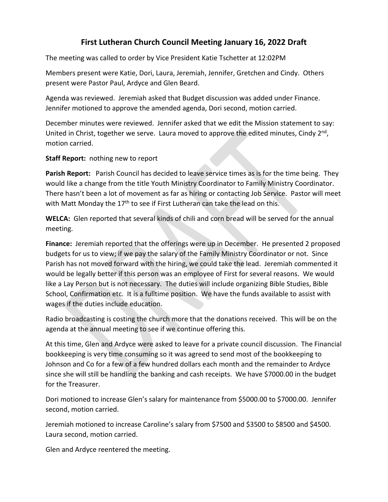## **First Lutheran Church Council Meeting January 16, 2022 Draft**

The meeting was called to order by Vice President Katie Tschetter at 12:02PM

Members present were Katie, Dori, Laura, Jeremiah, Jennifer, Gretchen and Cindy. Others present were Pastor Paul, Ardyce and Glen Beard.

Agenda was reviewed. Jeremiah asked that Budget discussion was added under Finance. Jennifer motioned to approve the amended agenda, Dori second, motion carried.

December minutes were reviewed. Jennifer asked that we edit the Mission statement to say: United in Christ, together we serve. Laura moved to approve the edited minutes, Cindy  $2^{nd}$ , motion carried.

**Staff Report:** nothing new to report

**Parish Report:** Parish Council has decided to leave service times as is for the time being. They would like a change from the title Youth Ministry Coordinator to Family Ministry Coordinator. There hasn't been a lot of movement as far as hiring or contacting Job Service. Pastor will meet with Matt Monday the 17<sup>th</sup> to see if First Lutheran can take the lead on this.

**WELCA:** Glen reported that several kinds of chili and corn bread will be served for the annual meeting.

**Finance:** Jeremiah reported that the offerings were up in December. He presented 2 proposed budgets for us to view; if we pay the salary of the Family Ministry Coordinator or not. Since Parish has not moved forward with the hiring, we could take the lead. Jeremiah commented it would be legally better if this person was an employee of First for several reasons. We would like a Lay Person but is not necessary. The duties will include organizing Bible Studies, Bible School, Confirmation etc. It is a fulltime position. We have the funds available to assist with wages if the duties include education.

Radio broadcasting is costing the church more that the donations received. This will be on the agenda at the annual meeting to see if we continue offering this.

At this time, Glen and Ardyce were asked to leave for a private council discussion. The Financial bookkeeping is very time consuming so it was agreed to send most of the bookkeeping to Johnson and Co for a few of a few hundred dollars each month and the remainder to Ardyce since she will still be handling the banking and cash receipts. We have \$7000.00 in the budget for the Treasurer.

Dori motioned to increase Glen's salary for maintenance from \$5000.00 to \$7000.00. Jennifer second, motion carried.

Jeremiah motioned to increase Caroline's salary from \$7500 and \$3500 to \$8500 and \$4500. Laura second, motion carried.

Glen and Ardyce reentered the meeting.